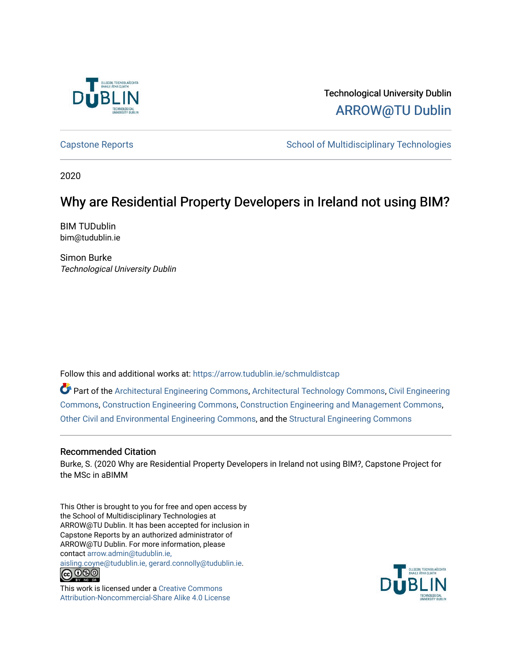

Technological University Dublin [ARROW@TU Dublin](https://arrow.tudublin.ie/) 

[Capstone Reports](https://arrow.tudublin.ie/schmuldistcap) **School of Multidisciplinary Technologies** School of Multidisciplinary Technologies

2020

# Why are Residential Property Developers in Ireland not using BIM?

BIM TUDublin bim@tudublin.ie

Simon Burke Technological University Dublin

Follow this and additional works at: [https://arrow.tudublin.ie/schmuldistcap](https://arrow.tudublin.ie/schmuldistcap?utm_source=arrow.tudublin.ie%2Fschmuldistcap%2F24&utm_medium=PDF&utm_campaign=PDFCoverPages)

Part of the [Architectural Engineering Commons](http://network.bepress.com/hgg/discipline/774?utm_source=arrow.tudublin.ie%2Fschmuldistcap%2F24&utm_medium=PDF&utm_campaign=PDFCoverPages), [Architectural Technology Commons,](http://network.bepress.com/hgg/discipline/1194?utm_source=arrow.tudublin.ie%2Fschmuldistcap%2F24&utm_medium=PDF&utm_campaign=PDFCoverPages) [Civil Engineering](http://network.bepress.com/hgg/discipline/252?utm_source=arrow.tudublin.ie%2Fschmuldistcap%2F24&utm_medium=PDF&utm_campaign=PDFCoverPages) [Commons](http://network.bepress.com/hgg/discipline/252?utm_source=arrow.tudublin.ie%2Fschmuldistcap%2F24&utm_medium=PDF&utm_campaign=PDFCoverPages), [Construction Engineering Commons](http://network.bepress.com/hgg/discipline/775?utm_source=arrow.tudublin.ie%2Fschmuldistcap%2F24&utm_medium=PDF&utm_campaign=PDFCoverPages), [Construction Engineering and Management Commons,](http://network.bepress.com/hgg/discipline/253?utm_source=arrow.tudublin.ie%2Fschmuldistcap%2F24&utm_medium=PDF&utm_campaign=PDFCoverPages) [Other Civil and Environmental Engineering Commons](http://network.bepress.com/hgg/discipline/257?utm_source=arrow.tudublin.ie%2Fschmuldistcap%2F24&utm_medium=PDF&utm_campaign=PDFCoverPages), and the [Structural Engineering Commons](http://network.bepress.com/hgg/discipline/256?utm_source=arrow.tudublin.ie%2Fschmuldistcap%2F24&utm_medium=PDF&utm_campaign=PDFCoverPages) 

# Recommended Citation

Burke, S. (2020 Why are Residential Property Developers in Ireland not using BIM?, Capstone Project for the MSc in aBIMM

This Other is brought to you for free and open access by the School of Multidisciplinary Technologies at ARROW@TU Dublin. It has been accepted for inclusion in Capstone Reports by an authorized administrator of ARROW@TU Dublin. For more information, please contact [arrow.admin@tudublin.ie,](mailto:arrow.admin@tudublin.ie,%20aisling.coyne@tudublin.ie,%20gerard.connolly@tudublin.ie) 

[aisling.coyne@tudublin.ie, gerard.connolly@tudublin.ie](mailto:arrow.admin@tudublin.ie,%20aisling.coyne@tudublin.ie,%20gerard.connolly@tudublin.ie).<br>
co 000



This work is licensed under a [Creative Commons](http://creativecommons.org/licenses/by-nc-sa/4.0/) [Attribution-Noncommercial-Share Alike 4.0 License](http://creativecommons.org/licenses/by-nc-sa/4.0/)

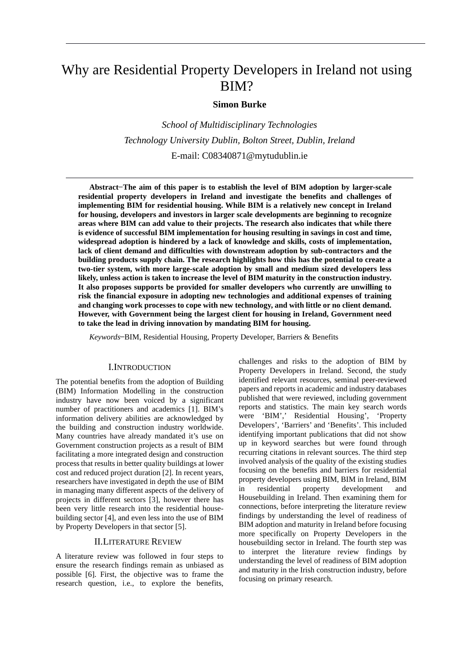# Why are Residential Property Developers in Ireland not using BIM?

# **Simon Burke**

*School of Multidisciplinary Technologies Technology University Dublin, Bolton Street, Dublin, Ireland* E-mail: C08340871@mytudublin.ie

**Abstract ̶The aim of this paper is to establish the level of BIM adoption by larger-scale residential property developers in Ireland and investigate the benefits and challenges of implementing BIM for residential housing. While BIM is a relatively new concept in Ireland for housing, developers and investors in larger scale developments are beginning to recognize areas where BIM can add value to their projects. The research also indicates that while there is evidence of successful BIM implementation for housing resulting in savings in cost and time, widespread adoption is hindered by a lack of knowledge and skills, costs of implementation, lack of client demand and difficulties with downstream adoption by sub-contractors and the building products supply chain. The research highlights how this has the potential to create a two-tier system, with more large-scale adoption by small and medium sized developers less likely, unless action is taken to increase the level of BIM maturity in the construction industry. It also proposes supports be provided for smaller developers who currently are unwilling to risk the financial exposure in adopting new technologies and additional expenses of training and changing work processes to cope with new technology, and with little or no client demand. However, with Government being the largest client for housing in Ireland, Government need to take the lead in driving innovation by mandating BIM for housing.**

*Keywords* ̶BIM, Residential Housing, Property Developer, Barriers & Benefits

## I.INTRODUCTION

The potential benefits from the adoption of Building (BIM) Information Modelling in the construction industry have now been voiced by a significant number of practitioners and academics [1]. BIM's information delivery abilities are acknowledged by the building and construction industry worldwide. Many countries have already mandated it's use on Government construction projects as a result of BIM facilitating a more integrated design and construction process that results in better quality buildings at lower cost and reduced project duration [2]. In recent years, researchers have investigated in depth the use of BIM in managing many different aspects of the delivery of projects in different sectors [3], however there has been very little research into the residential housebuilding sector [4], and even less into the use of BIM by Property Developers in that sector [5].

### II.LITERATURE REVIEW

A literature review was followed in four steps to ensure the research findings remain as unbiased as possible [6]. First, the objective was to frame the research question, i.e., to explore the benefits, challenges and risks to the adoption of BIM by Property Developers in Ireland. Second, the study identified relevant resources, seminal peer-reviewed papers and reports in academic and industry databases published that were reviewed, including government reports and statistics. The main key search words were 'BIM',' Residential Housing', 'Property Developers', 'Barriers' and 'Benefits'. This included identifying important publications that did not show up in keyword searches but were found through recurring citations in relevant sources. The third step involved analysis of the quality of the existing studies focusing on the benefits and barriers for residential property developers using BIM, BIM in Ireland, BIM in residential property development and Housebuilding in Ireland. Then examining them for connections, before interpreting the literature review findings by understanding the level of readiness of BIM adoption and maturity in Ireland before focusing more specifically on Property Developers in the housebuilding sector in Ireland. The fourth step was to interpret the literature review findings by understanding the level of readiness of BIM adoption and maturity in the Irish construction industry, before focusing on primary research.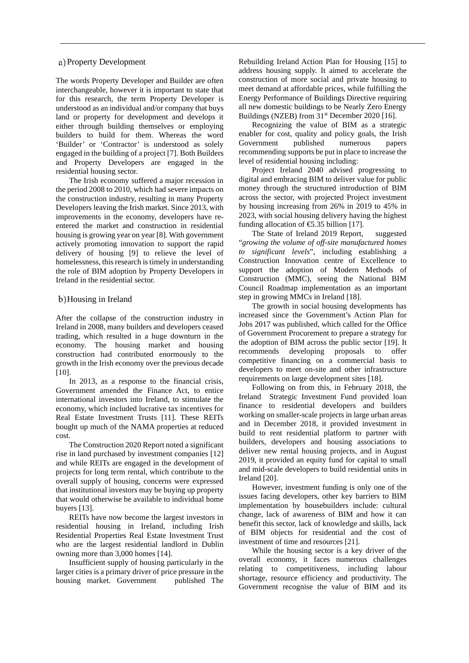#### a) Property Development

The words Property Developer and Builder are often interchangeable, however it is important to state that for this research, the term Property Developer is understood as an individual and/or company that buys land or property for development and develops it either through building themselves or employing builders to build for them. Whereas the word 'Builder' or 'Contractor' is understood as solely engaged in the building of a project [7]. Both Builders and Property Developers are engaged in the residential housing sector.

The Irish economy suffered a major recession in the period 2008 to 2010, which had severe impacts on the construction industry, resulting in many Property Developers leaving the Irish market. Since 2013, with improvements in the economy, developers have reentered the market and construction in residential housing is growing year on year [8]. With government actively promoting innovation to support the rapid delivery of housing [9] to relieve the level of homelessness, this research is timely in understanding the role of BIM adoption by Property Developers in Ireland in the residential sector.

## Housing in Ireland

After the collapse of the construction industry in Ireland in 2008, many builders and developers ceased trading, which resulted in a huge downturn in the economy. The housing market and housing construction had contributed enormously to the growth in the Irish economy over the previous decade [10].

In 2013, as a response to the financial crisis, Government amended the Finance Act, to entice international investors into Ireland, to stimulate the economy, which included lucrative tax incentives for Real Estate Investment Trusts [11]. These REITs bought up much of the NAMA properties at reduced cost.

The Construction 2020 Report noted a significant rise in land purchased by investment companies [12] and while REITs are engaged in the development of projects for long term rental, which contribute to the overall supply of housing, concerns were expressed that institutional investors may be buying up property that would otherwise be available to individual home buyers [13].

REITs have now become the largest investors in residential housing in Ireland, including Irish Residential Properties Real Estate Investment Trust who are the largest residential landlord in Dublin owning more than 3,000 homes [14].

Insufficient supply of housing particularly in the larger cities is a primary driver of price pressure in the housing market. Government published The Rebuilding Ireland Action Plan for Housing [15] to address housing supply. It aimed to accelerate the construction of more social and private housing to meet demand at affordable prices, while fulfilling the Energy Performance of Buildings Directive requiring all new domestic buildings to be Nearly Zero Energy Buildings (NZEB) from 31<sup>st</sup> December 2020 [16].

Recognizing the value of BIM as a strategic enabler for cost, quality and policy goals, the Irish Government published numerous papers recommending supports be put in place to increase the level of residential housing including:

Project Ireland 2040 advised progressing to digital and embracing BIM to deliver value for public money through the structured introduction of BIM across the sector, with projected Project investment by housing increasing from 26% in 2019 to 45% in 2023, with social housing delivery having the highest funding allocation of  $\text{\textsterling}5.35$  billion [17].

The State of Ireland 2019 Report, suggested "*growing the volume of off-site manufactured homes to significant levels*", including establishing a Construction Innovation centre of Excellence to support the adoption of Modern Methods of Construction (MMC), seeing the National BIM Council Roadmap implementation as an important step in growing MMCs in Ireland [18].

The growth in social housing developments has increased since the Government's Action Plan for Jobs 2017 was published, which called for the Office of Government Procurement to prepare a strategy for the adoption of BIM across the public sector [19]. It recommends developing proposals to offer competitive financing on a commercial basis to developers to meet on-site and other infrastructure requirements on large development sites [18].

Following on from this, in February 2018, the Ireland Strategic Investment Fund provided loan finance to residential developers and builders working on smaller-scale projects in large urban areas and in December 2018, it provided investment in build to rent residential platform to partner with builders, developers and housing associations to deliver new rental housing projects, and in August 2019, it provided an equity fund for capital to small and mid-scale developers to build residential units in Ireland [20].

However, investment funding is only one of the issues facing developers, other key barriers to BIM implementation by housebuilders include: cultural change, lack of awareness of BIM and how it can benefit this sector, lack of knowledge and skills, lack of BIM objects for residential and the cost of investment of time and resources [21].

While the housing sector is a key driver of the overall economy, it faces numerous challenges relating to competitiveness, including labour shortage, resource efficiency and productivity. The Government recognise the value of BIM and its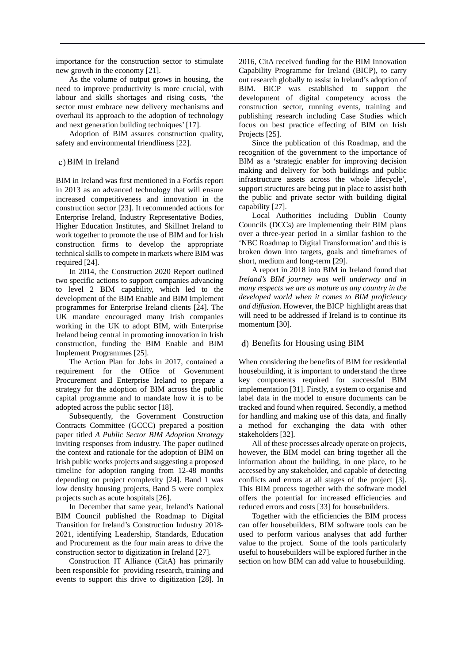importance for the construction sector to stimulate new growth in the economy [21].

As the volume of output grows in housing, the need to improve productivity is more crucial, with labour and skills shortages and rising costs, 'the sector must embrace new delivery mechanisms and overhaul its approach to the adoption of technology and next generation building techniques' [17].

Adoption of BIM assures construction quality, safety and environmental friendliness [22].

# BIM in Ireland

BIM in Ireland was first mentioned in a Forfás report in 2013 as an advanced technology that will ensure increased competitiveness and innovation in the construction sector [23]. It recommended actions for Enterprise Ireland, Industry Representative Bodies, Higher Education Institutes, and Skillnet Ireland to work together to promote the use of BIM and for Irish construction firms to develop the appropriate technical skills to compete in markets where BIM was required [24].

In 2014, the Construction 2020 Report outlined two specific actions to support companies advancing to level 2 BIM capability, which led to the development of the BIM Enable and BIM Implement programmes for Enterprise Ireland clients [24]. The UK mandate encouraged many Irish companies working in the UK to adopt BIM, with Enterprise Ireland being central in promoting innovation in Irish construction, funding the BIM Enable and BIM Implement Programmes [25].

The Action Plan for Jobs in 2017, contained a requirement for the Office of Government Procurement and Enterprise Ireland to prepare a strategy for the adoption of BIM across the public capital programme and to mandate how it is to be adopted across the public sector [18].

Subsequently, the Government Construction Contracts Committee (GCCC) prepared a position paper titled *A Public Sector BIM Adoption Strategy*  inviting responses from industry. The paper outlined the context and rationale for the adoption of BIM on Irish public works projects and suggesting a proposed timeline for adoption ranging from 12-48 months depending on project complexity [24]. Band 1 was low density housing projects, Band 5 were complex projects such as acute hospitals [26].

In December that same year, Ireland's National BIM Council published the Roadmap to Digital Transition for Ireland's Construction Industry 2018- 2021, identifying Leadership, Standards, Education and Procurement as the four main areas to drive the construction sector to digitization in Ireland [27].

Construction IT Alliance (CitA) has primarily been responsible for providing research, training and events to support this drive to digitization [28]. In

2016, CitA received funding for the BIM Innovation Capability Programme for Ireland (BICP), to carry out research globally to assist in Ireland's adoption of BIM. BICP was established to support the development of digital competency across the construction sector, running events, training and publishing research including Case Studies which focus on best practice effecting of BIM on Irish Projects [25].

Since the publication of this Roadmap, and the recognition of the government to the importance of BIM as a 'strategic enabler for improving decision making and delivery for both buildings and public infrastructure assets across the whole lifecycle', support structures are being put in place to assist both the public and private sector with building digital capability [27].

Local Authorities including Dublin County Councils (DCCs) are implementing their BIM plans over a three-year period in a similar fashion to the 'NBC Roadmap to Digital Transformation' and this is broken down into targets, goals and timeframes of short, medium and long-term [29].

A report in 2018 into BIM in Ireland found that *Ireland's BIM journey was well underway and in many respects we are as mature as any country in the developed world when it comes to BIM proficiency and diffusion.* However, the BICP highlight areas that will need to be addressed if Ireland is to continue its momentum [30].

## d) Benefits for Housing using BIM

When considering the benefits of BIM for residential housebuilding, it is important to understand the three key components required for successful BIM implementation [31]. Firstly, a system to organise and label data in the model to ensure documents can be tracked and found when required. Secondly, a method for handling and making use of this data, and finally a method for exchanging the data with other stakeholders [32].

All of these processes already operate on projects, however, the BIM model can bring together all the information about the building, in one place, to be accessed by any stakeholder, and capable of detecting conflicts and errors at all stages of the project [3]. This BIM process together with the software model offers the potential for increased efficiencies and reduced errors and costs [33] for housebuilders.

Together with the efficiencies the BIM process can offer housebuilders, BIM software tools can be used to perform various analyses that add further value to the project. Some of the tools particularly useful to housebuilders will be explored further in the section on how BIM can add value to housebuilding.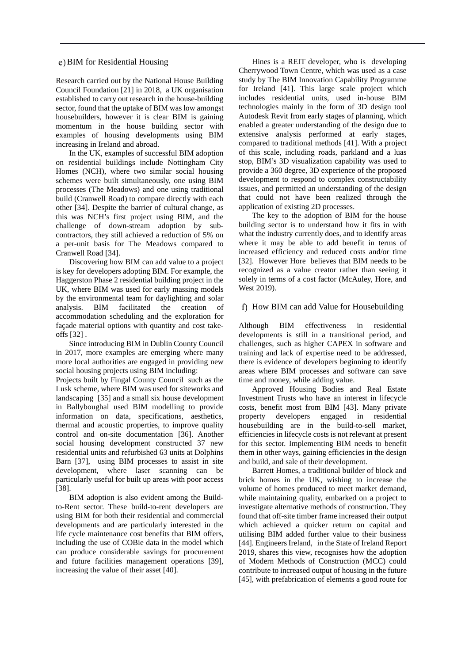#### BIM for Residential Housing

Research carried out by the National House Building Council Foundation [21] in 2018, a UK organisation established to carry out research in the house-building sector, found that the uptake of BIM was low amongst housebuilders, however it is clear BIM is gaining momentum in the house building sector with examples of housing developments using BIM increasing in Ireland and abroad.

In the UK, examples of successful BIM adoption on residential buildings include Nottingham City Homes (NCH), where two similar social housing schemes were built simultaneously, one using BIM processes (The Meadows) and one using traditional build (Cranwell Road) to compare directly with each other [34]. Despite the barrier of cultural change, as this was NCH's first project using BIM, and the challenge of down-stream adoption by subcontractors, they still achieved a reduction of 5% on a per-unit basis for The Meadows compared to Cranwell Road [34].

Discovering how BIM can add value to a project is key for developers adopting BIM. For example, the Haggerston Phase 2 residential building project in the UK, where BIM was used for early massing models by the environmental team for daylighting and solar analysis. BIM facilitated the creation of accommodation scheduling and the exploration for façade material options with quantity and cost takeoffs [32] .

Since introducing BIM in Dublin County Council in 2017, more examples are emerging where many more local authorities are engaged in providing new social housing projects using BIM including:

Projects built by Fingal County Council such as the Lusk scheme, where BIM was used for siteworks and landscaping [35] and a small six house development in Ballyboughal used BIM modelling to provide information on data, specifications, aesthetics, thermal and acoustic properties, to improve quality control and on-site documentation [36]. Another social housing development constructed 37 new residential units and refurbished 63 units at Dolphins Barn [37], using BIM processes to assist in site development, where laser scanning can be particularly useful for built up areas with poor access [38].

BIM adoption is also evident among the Buildto-Rent sector. These build-to-rent developers are using BIM for both their residential and commercial developments and are particularly interested in the life cycle maintenance cost benefits that BIM offers, including the use of COBie data in the model which can produce considerable savings for procurement and future facilities management operations [39], increasing the value of their asset [40].

Hines is a REIT developer, who is developing Cherrywood Town Centre, which was used as a case study by The BIM Innovation Capability Programme for Ireland [41]. This large scale project which includes residential units, used in-house BIM technologies mainly in the form of 3D design tool Autodesk Revit from early stages of planning, which enabled a greater understanding of the design due to extensive analysis performed at early stages, compared to traditional methods [41]. With a project of this scale, including roads, parkland and a luas stop, BIM's 3D visualization capability was used to provide a 360 degree, 3D experience of the proposed development to respond to complex constructability issues, and permitted an understanding of the design that could not have been realized through the application of existing 2D processes.

The key to the adoption of BIM for the house building sector is to understand how it fits in with what the industry currently does, and to identify areas where it may be able to add benefit in terms of increased efficiency and reduced costs and/or time [32]. However Hore believes that BIM needs to be recognized as a value creator rather than seeing it solely in terms of a cost factor (McAuley, Hore, and West 2019).

## f) How BIM can add Value for Housebuilding

Although BIM effectiveness in residential developments is still in a transitional period, and challenges, such as higher CAPEX in software and training and lack of expertise need to be addressed, there is evidence of developers beginning to identify areas where BIM processes and software can save time and money, while adding value.

Approved Housing Bodies and Real Estate Investment Trusts who have an interest in lifecycle costs, benefit most from BIM [43]. Many private property developers engaged in residential housebuilding are in the build-to-sell market, efficiencies in lifecycle costs is not relevant at present for this sector. Implementing BIM needs to benefit them in other ways, gaining efficiencies in the design and build, and sale of their development.

Barrett Homes, a traditional builder of block and brick homes in the UK, wishing to increase the volume of homes produced to meet market demand, while maintaining quality, embarked on a project to investigate alternative methods of construction. They found that off-site timber frame increased their output which achieved a quicker return on capital and utilising BIM added further value to their business [44]. Engineers Ireland, in the State of Ireland Report 2019, shares this view, recognises how the adoption of Modern Methods of Construction (MCC) could contribute to increased output of housing in the future [45], with prefabrication of elements a good route for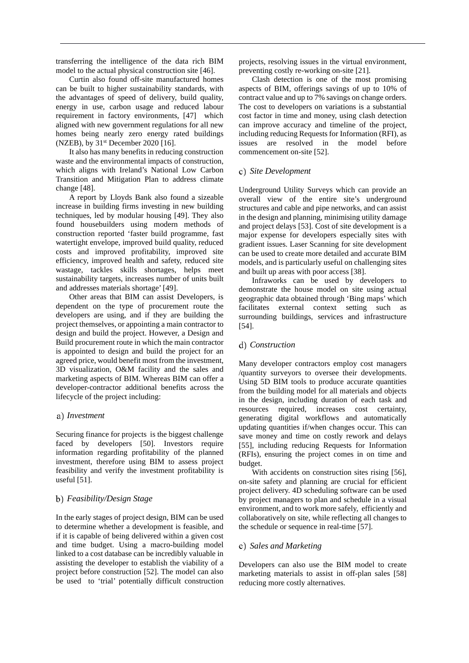transferring the intelligence of the data rich BIM model to the actual physical construction site [46].

Curtin also found off-site manufactured homes can be built to higher sustainability standards, with the advantages of speed of delivery, build quality, energy in use, carbon usage and reduced labour requirement in factory environments, [47] which aligned with new government regulations for all new homes being nearly zero energy rated buildings (NZEB), by  $31<sup>st</sup>$  December 2020 [16].

It also has many benefits in reducing construction waste and the environmental impacts of construction, which aligns with Ireland's National Low Carbon Transition and Mitigation Plan to address climate change [48].

A report by Lloyds Bank also found a sizeable increase in building firms investing in new building techniques, led by modular housing [49]. They also found housebuilders using modern methods of construction reported 'faster build programme, fast watertight envelope, improved build quality, reduced costs and improved profitability, improved site efficiency, improved health and safety, reduced site wastage, tackles skills shortages, helps meet sustainability targets, increases number of units built and addresses materials shortage' [49].

Other areas that BIM can assist Developers, is dependent on the type of procurement route the developers are using, and if they are building the project themselves, or appointing a main contractor to design and build the project. However, a Design and Build procurement route in which the main contractor is appointed to design and build the project for an agreed price, would benefit most from the investment, 3D visualization, O&M facility and the sales and marketing aspects of BIM. Whereas BIM can offer a developer-contractor additional benefits across the lifecycle of the project including:

#### *Investment*

Securing finance for projects is the biggest challenge faced by developers [50]. Investors require information regarding profitability of the planned investment, therefore using BIM to assess project feasibility and verify the investment profitability is useful [51].

#### *Feasibility/Design Stage*

In the early stages of project design, BIM can be used to determine whether a development is feasible, and if it is capable of being delivered within a given cost and time budget. Using a macro-building model linked to a cost database can be incredibly valuable in assisting the developer to establish the viability of a project before construction [52]. The model can also be used to 'trial' potentially difficult construction projects, resolving issues in the virtual environment, preventing costly re-working on-site [21].

Clash detection is one of the most promising aspects of BIM, offerings savings of up to 10% of contract value and up to 7% savings on change orders. The cost to developers on variations is a substantial cost factor in time and money, using clash detection can improve accuracy and timeline of the project, including reducing Requests for Information (RFI), as issues are resolved in the model before commencement on-site [52].

#### *Site Development*

Underground Utility Surveys which can provide an overall view of the entire site's underground structures and cable and pipe networks, and can assist in the design and planning, minimising utility damage and project delays [53]. Cost of site development is a major expense for developers especially sites with gradient issues. Laser Scanning for site development can be used to create more detailed and accurate BIM models, and is particularly useful on challenging sites and built up areas with poor access [38].

Infraworks can be used by developers to demonstrate the house model on site using actual geographic data obtained through 'Bing maps' which facilitates external context setting such as surrounding buildings, services and infrastructure [54].

#### *Construction*

Many developer contractors employ cost managers /quantity surveyors to oversee their developments. Using 5D BIM tools to produce accurate quantities from the building model for all materials and objects in the design, including duration of each task and resources required, increases cost certainty, generating digital workflows and automatically updating quantities if/when changes occur. This can save money and time on costly rework and delays [55], including reducing Requests for Information (RFIs), ensuring the project comes in on time and budget.

With accidents on construction sites rising [56], on-site safety and planning are crucial for efficient project delivery. 4D scheduling software can be used by project managers to plan and schedule in a visual environment, and to work more safely, efficiently and collaboratively on site, while reflecting all changes to the schedule or sequence in real-time [57].

#### *Sales and Marketing*

Developers can also use the BIM model to create marketing materials to assist in off-plan sales [58] reducing more costly alternatives.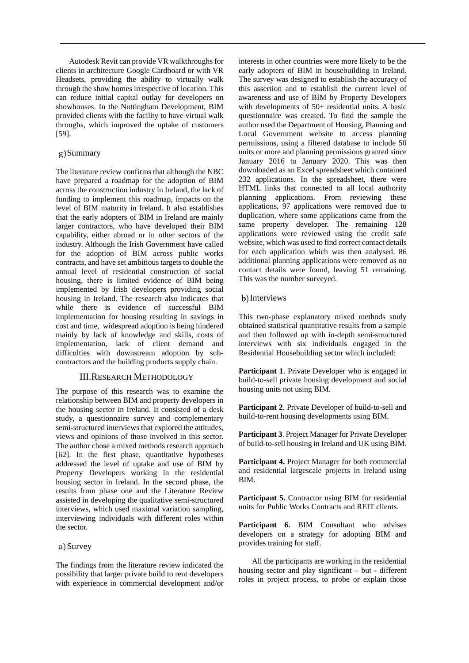Autodesk Revit can provide VR walkthroughs for clients in architecture Google Cardboard or with VR Headsets, providing the ability to virtually walk through the show homes irrespective of location. This can reduce initial capital outlay for developers on showhouses. In the Nottingham Development, BIM provided clients with the facility to have virtual walk throughs, which improved the uptake of customers [59].

# g) Summary

The literature review confirms that although the NBC have prepared a roadmap for the adoption of BIM across the construction industry in Ireland, the lack of funding to implement this roadmap, impacts on the level of BIM maturity in Ireland. It also establishes that the early adopters of BIM in Ireland are mainly larger contractors, who have developed their BIM capability, either abroad or in other sectors of the industry. Although the Irish Government have called for the adoption of BIM across public works contracts, and have set ambitious targets to double the annual level of residential construction of social housing, there is limited evidence of BIM being implemented by Irish developers providing social housing in Ireland. The research also indicates that while there is evidence of successful BIM implementation for housing resulting in savings in cost and time, widespread adoption is being hindered mainly by lack of knowledge and skills, costs of implementation, lack of client demand and difficulties with downstream adoption by subcontractors and the building products supply chain.

# III.RESEARCH METHODOLOGY

The purpose of this research was to examine the relationship between BIM and property developers in the housing sector in Ireland. It consisted of a desk study, a questionnaire survey and complementary semi-structured interviews that explored the attitudes, views and opinions of those involved in this sector. The author chose a mixed methods research approach [62]. In the first phase, quantitative hypotheses addressed the level of uptake and use of BIM by Property Developers working in the residential housing sector in Ireland. In the second phase, the results from phase one and the Literature Review assisted in developing the qualitative semi-structured interviews, which used maximal variation sampling, interviewing individuals with different roles within the sector.

## a) Survey

The findings from the literature review indicated the possibility that larger private build to rent developers with experience in commercial development and/or interests in other countries were more likely to be the early adopters of BIM in housebuilding in Ireland. The survey was designed to establish the accuracy of this assertion and to establish the current level of awareness and use of BIM by Property Developers with developments of 50+ residential units. A basic questionnaire was created. To find the sample the author used the Department of Housing, Planning and Local Government website to access planning permissions, using a filtered database to include 50 units or more and planning permissions granted since January 2016 to January 2020. This was then downloaded as an Excel spreadsheet which contained 232 applications. In the spreadsheet, there were HTML links that connected to all local authority planning applications. From reviewing these applications, 97 applications were removed due to duplication, where some applications came from the same property developer. The remaining 128 applications were reviewed using the credit safe website, which was used to find correct contact details for each application which was then analysed. 86 additional planning applications were removed as no contact details were found, leaving 51 remaining. This was the number surveyed.

#### b) Interviews

This two-phase explanatory mixed methods study obtained statistical quantitative results from a sample and then followed up with in-depth semi-structured interviews with six individuals engaged in the Residential Housebuilding sector which included:

**Participant 1**. Private Developer who is engaged in build-to-sell private housing development and social housing units not using BIM.

**Participant 2**. Private Developer of build-to-sell and build-to-rent housing developments using BIM.

**Participant 3**. Project Manager for Private Developer of build-to-sell housing in Ireland and UK using BIM.

**Participant 4.** Project Manager for both commercial and residential largescale projects in Ireland using BIM.

**Participant 5.** Contractor using BIM for residential units for Public Works Contracts and REIT clients.

Participant 6. BIM Consultant who advises developers on a strategy for adopting BIM and provides training for staff.

All the participants are working in the residential housing sector and play significant – but - different roles in project process, to probe or explain those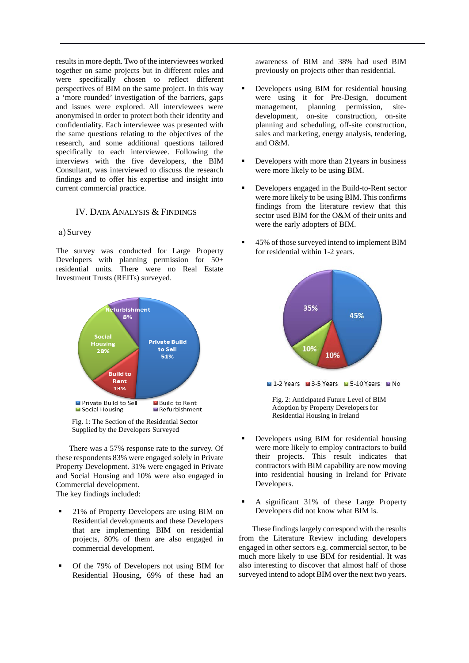results in more depth. Two of the interviewees worked together on same projects but in different roles and were specifically chosen to reflect different perspectives of BIM on the same project. In this way a 'more rounded' investigation of the barriers, gaps and issues were explored. All interviewees were anonymised in order to protect both their identity and confidentiality. Each interviewee was presented with the same questions relating to the objectives of the research, and some additional questions tailored specifically to each interviewee. Following the interviews with the five developers, the BIM Consultant, was interviewed to discuss the research findings and to offer his expertise and insight into current commercial practice.

## IV. DATA ANALYSIS & FINDINGS

### a) Survey

The survey was conducted for Large Property Developers with planning permission for 50+ residential units. There were no Real Estate Investment Trusts (REITs) surveyed.





There was a 57% response rate to the survey. Of these respondents 83% were engaged solely in Private Property Development. 31% were engaged in Private and Social Housing and 10% were also engaged in Commercial development. The key findings included:

- 21% of Property Developers are using BIM on Residential developments and these Developers that are implementing BIM on residential projects, 80% of them are also engaged in commercial development.
- Of the 79% of Developers not using BIM for Residential Housing, 69% of these had an

awareness of BIM and 38% had used BIM previously on projects other than residential.

- Developers using BIM for residential housing were using it for Pre-Design, document management, planning permission, sitedevelopment, on-site construction, on-site planning and scheduling, off-site construction, sales and marketing, energy analysis, tendering, and O&M.
- Developers with more than 21 years in business were more likely to be using BIM.
- Developers engaged in the Build-to-Rent sector were more likely to be using BIM. This confirms findings from the literature review that this sector used BIM for the O&M of their units and were the early adopters of BIM.
- 45% of those surveyed intend to implement BIM for residential within 1-2 years.



- Developers using BIM for residential housing were more likely to employ contractors to build their projects. This result indicates that contractors with BIM capability are now moving into residential housing in Ireland for Private Developers.
- A significant 31% of these Large Property Developers did not know what BIM is.

These findings largely correspond with the results from the Literature Review including developers engaged in other sectors e.g. commercial sector, to be much more likely to use BIM for residential. It was also interesting to discover that almost half of those surveyed intend to adopt BIM over the next two years.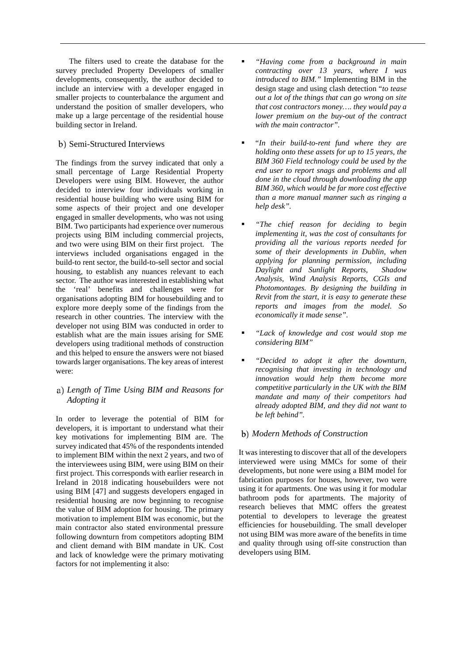The filters used to create the database for the survey precluded Property Developers of smaller developments, consequently, the author decided to include an interview with a developer engaged in smaller projects to counterbalance the argument and understand the position of smaller developers, who make up a large percentage of the residential house building sector in Ireland.

# b) Semi-Structured Interviews

The findings from the survey indicated that only a small percentage of Large Residential Property Developers were using BIM. However, the author decided to interview four individuals working in residential house building who were using BIM for some aspects of their project and one developer engaged in smaller developments, who was not using BIM. Two participants had experience over numerous projects using BIM including commercial projects, and two were using BIM on their first project. The interviews included organisations engaged in the build-to rent sector, the build-to-sell sector and social housing, to establish any nuances relevant to each sector. The author was interested in establishing what the 'real' benefits and challenges were for organisations adopting BIM for housebuilding and to explore more deeply some of the findings from the research in other countries. The interview with the developer not using BIM was conducted in order to establish what are the main issues arising for SME developers using traditional methods of construction and this helped to ensure the answers were not biased towards larger organisations. The key areas of interest were:

# *Length of Time Using BIM and Reasons for Adopting it*

In order to leverage the potential of BIM for developers, it is important to understand what their key motivations for implementing BIM are. The survey indicated that 45% of the respondents intended to implement BIM within the next 2 years, and two of the interviewees using BIM, were using BIM on their first project. This corresponds with earlier research in Ireland in 2018 indicating housebuilders were not using BIM [47] and suggests developers engaged in residential housing are now beginning to recognise the value of BIM adoption for housing. The primary motivation to implement BIM was economic, but the main contractor also stated environmental pressure following downturn from competitors adopting BIM and client demand with BIM mandate in UK. Cost and lack of knowledge were the primary motivating factors for not implementing it also:

- *"Having come from a background in main contracting over 13 years, where I was introduced to BIM."* Implementing BIM in the design stage and using clash detection "*to tease out a lot of the things that can go wrong on site that cost contractors money…. they would pay a lower premium on the buy-out of the contract with the main contractor".*
- "*In their build-to-rent fund where they are holding onto these assets for up to 15 years, the BIM 360 Field technology could be used by the end user to report snags and problems and all done in the cloud through downloading the app BIM 360, which would be far more cost effective than a more manual manner such as ringing a help desk".*
- *"The chief reason for deciding to begin implementing it, was the cost of consultants for providing all the various reports needed for some of their developments in Dublin, when applying for planning permission, including Daylight and Sunlight Reports, Shadow Analysis, Wind Analysis Reports, CGIs and Photomontages. By designing the building in Revit from the start, it is easy to generate these reports and images from the model. So economically it made sense".*
- *"Lack of knowledge and cost would stop me considering BIM"*
- *"Decided to adopt it after the downturn, recognising that investing in technology and innovation would help them become more competitive particularly in the UK with the BIM mandate and many of their competitors had already adopted BIM, and they did not want to be left behind".*

#### *Modern Methods of Construction*

It was interesting to discover that all of the developers interviewed were using MMCs for some of their developments, but none were using a BIM model for fabrication purposes for houses, however, two were using it for apartments. One was using it for modular bathroom pods for apartments. The majority of research believes that MMC offers the greatest potential to developers to leverage the greatest efficiencies for housebuilding. The small developer not using BIM was more aware of the benefits in time and quality through using off-site construction than developers using BIM.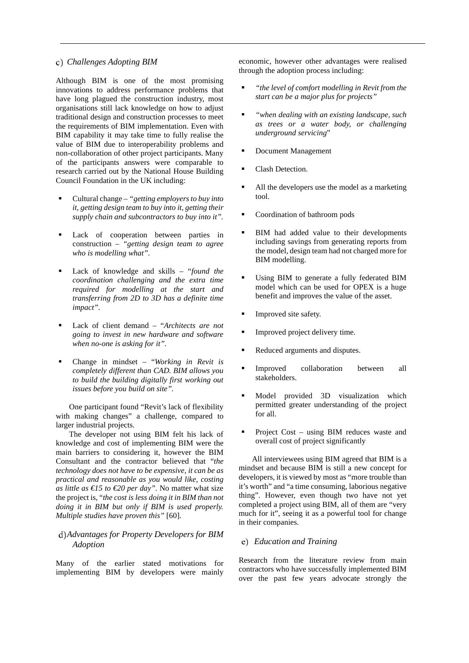# *Challenges Adopting BIM*

Although BIM is one of the most promising innovations to address performance problems that have long plagued the construction industry, most organisations still lack knowledge on how to adjust traditional design and construction processes to meet the requirements of BIM implementation. Even with BIM capability it may take time to fully realise the value of BIM due to interoperability problems and non-collaboration of other project participants. Many of the participants answers were comparable to research carried out by the National House Building Council Foundation in the UK including:

- Cultural change *"getting employers to buy into it, getting design team to buy into it, getting their supply chain and subcontractors to buy into it".*
- Lack of cooperation between parties in construction – *"getting design team to agree who is modelling what".*
- Lack of knowledge and skills "*found the coordination challenging and the extra time required for modelling at the start and transferring from 2D to 3D has a definite time impact".*
- Lack of client demand "*Architects are not going to invest in new hardware and software when no-one is asking for it".*
- Change in mindset "*Working in Revit is completely different than CAD. BIM allows you to build the building digitally first working out issues before you build on site".*

One participant found "Revit's lack of flexibility with making changes" a challenge, compared to larger industrial projects.

The developer not using BIM felt his lack of knowledge and cost of implementing BIM were the main barriers to considering it, however the BIM Consultant and the contractor believed that "*the technology does not have to be expensive, it can be as practical and reasonable as you would like, costing as little as €15 to €20 per day".* No matter what size the project is, "*the cost is less doing it in BIM than not doing it in BIM but only if BIM is used properly. Multiple studies have proven this"* [60]*.*

# *Advantages for Property Developers for BIM Adoption*

Many of the earlier stated motivations for implementing BIM by developers were mainly economic, however other advantages were realised through the adoption process including:

- *"the level of comfort modelling in Revit from the start can be a major plus for projects"*
- *"when dealing with an existing landscape, such as trees or a water body, or challenging underground servicing*"
- Document Management
- Clash Detection.
- All the developers use the model as a marketing tool.
- Coordination of bathroom pods
- BIM had added value to their developments including savings from generating reports from the model, design team had not charged more for BIM modelling.
- Using BIM to generate a fully federated BIM model which can be used for OPEX is a huge benefit and improves the value of the asset.
- Improved site safety.
- Improved project delivery time.
- Reduced arguments and disputes.
- **Improved** collaboration between all stakeholders.
- Model provided 3D visualization which permitted greater understanding of the project for all.
- Project Cost using BIM reduces waste and overall cost of project significantly

All interviewees using BIM agreed that BIM is a mindset and because BIM is still a new concept for developers, it is viewed by most as "more trouble than it's worth" and "a time consuming, laborious negative thing". However, even though two have not yet completed a project using BIM, all of them are "very much for it", seeing it as a powerful tool for change in their companies.

### *Education and Training*

Research from the literature review from main contractors who have successfully implemented BIM over the past few years advocate strongly the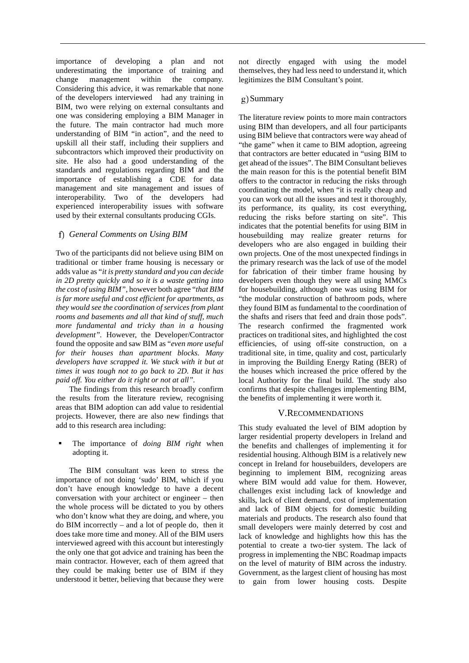importance of developing a plan and not underestimating the importance of training and change management within the company. Considering this advice, it was remarkable that none of the developers interviewed had any training in BIM, two were relying on external consultants and one was considering employing a BIM Manager in the future. The main contractor had much more understanding of BIM "in action", and the need to upskill all their staff, including their suppliers and subcontractors which improved their productivity on site. He also had a good understanding of the standards and regulations regarding BIM and the importance of establishing a CDE for data management and site management and issues of interoperability. Two of the developers had experienced interoperability issues with software used by their external consultants producing CGIs.

# *General Comments on Using BIM*

Two of the participants did not believe using BIM on traditional or timber frame housing is necessary or adds value as "*it is pretty standard and you can decide in 2D pretty quickly and so it is a waste getting into the cost of using BIM"*, however both agree "*that BIM is far more useful and cost efficient for apartments, as they would see the coordination of services from plant rooms and basements and all that kind of stuff, much more fundamental and tricky than in a housing development".* However, the Developer/Contractor found the opposite and saw BIM as "*even more useful for their houses than apartment blocks. Many developers have scrapped it. We stuck with it but at times it was tough not to go back to 2D. But it has paid off. You either do it right or not at all".*

The findings from this research broadly confirm the results from the literature review, recognising areas that BIM adoption can add value to residential projects. However, there are also new findings that add to this research area including:

## The importance of *doing BIM right* when adopting it.

The BIM consultant was keen to stress the importance of not doing 'sudo' BIM, which if you don't have enough knowledge to have a decent conversation with your architect or engineer – then the whole process will be dictated to you by others who don't know what they are doing, and where, you do BIM incorrectly – and a lot of people do, then it does take more time and money. All of the BIM users interviewed agreed with this account but interestingly the only one that got advice and training has been the main contractor. However, each of them agreed that they could be making better use of BIM if they understood it better, believing that because they were not directly engaged with using the model themselves, they had less need to understand it, which legitimizes the BIM Consultant's point.

# g) Summary

The literature review points to more main contractors using BIM than developers, and all four participants using BIM believe that contractors were way ahead of "the game" when it came to BIM adoption, agreeing that contractors are better educated in "using BIM to get ahead of the issues". The BIM Consultant believes the main reason for this is the potential benefit BIM offers to the contractor in reducing the risks through coordinating the model, when "it is really cheap and you can work out all the issues and test it thoroughly, its performance, its quality, its cost everything, reducing the risks before starting on site". This indicates that the potential benefits for using BIM in housebuilding may realize greater returns for developers who are also engaged in building their own projects. One of the most unexpected findings in the primary research was the lack of use of the model for fabrication of their timber frame housing by developers even though they were all using MMCs for housebuilding, although one was using BIM for "the modular construction of bathroom pods, where they found BIM as fundamental to the coordination of the shafts and risers that feed and drain those pods". The research confirmed the fragmented work practices on traditional sites, and highlighted the cost efficiencies, of using off-site construction, on a traditional site, in time, quality and cost, particularly in improving the Building Energy Rating (BER) of the houses which increased the price offered by the local Authority for the final build. The study also confirms that despite challenges implementing BIM, the benefits of implementing it were worth it.

#### V.RECOMMENDATIONS

This study evaluated the level of BIM adoption by larger residential property developers in Ireland and the benefits and challenges of implementing it for residential housing. Although BIM is a relatively new concept in Ireland for housebuilders, developers are beginning to implement BIM, recognizing areas where BIM would add value for them. However, challenges exist including lack of knowledge and skills, lack of client demand, cost of implementation and lack of BIM objects for domestic building materials and products. The research also found that small developers were mainly deterred by cost and lack of knowledge and highlights how this has the potential to create a two-tier system. The lack of progress in implementing the NBC Roadmap impacts on the level of maturity of BIM across the industry. Government, as the largest client of housing has most to gain from lower housing costs. Despite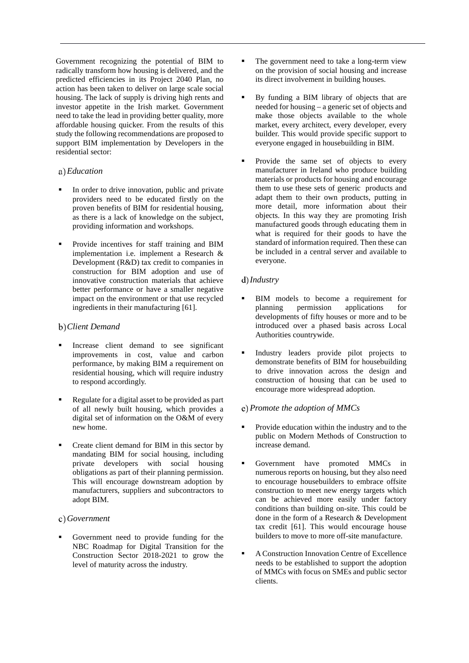Government recognizing the potential of BIM to radically transform how housing is delivered, and the predicted efficiencies in its Project 2040 Plan, no action has been taken to deliver on large scale social housing. The lack of supply is driving high rents and investor appetite in the Irish market. Government need to take the lead in providing better quality, more affordable housing quicker. From the results of this study the following recommendations are proposed to support BIM implementation by Developers in the residential sector:

# *Education*

- In order to drive innovation, public and private providers need to be educated firstly on the proven benefits of BIM for residential housing, as there is a lack of knowledge on the subject, providing information and workshops.
- Provide incentives for staff training and BIM implementation i.e. implement a Research & Development (R&D) tax credit to companies in construction for BIM adoption and use of innovative construction materials that achieve better performance or have a smaller negative impact on the environment or that use recycled ingredients in their manufacturing [61].

# *Client Demand*

- Increase client demand to see significant improvements in cost, value and carbon performance, by making BIM a requirement on residential housing, which will require industry to respond accordingly.
- Regulate for a digital asset to be provided as part of all newly built housing, which provides a digital set of information on the O&M of every new home.
- Create client demand for BIM in this sector by mandating BIM for social housing, including private developers with social housing obligations as part of their planning permission. This will encourage downstream adoption by manufacturers, suppliers and subcontractors to adopt BIM.

# *Government*

 Government need to provide funding for the NBC Roadmap for Digital Transition for the Construction Sector 2018-2021 to grow the level of maturity across the industry.

- The government need to take a long-term view on the provision of social housing and increase its direct involvement in building houses.
- By funding a BIM library of objects that are needed for housing – a generic set of objects and make those objects available to the whole market, every architect, every developer, every builder. This would provide specific support to everyone engaged in housebuilding in BIM.
- Provide the same set of objects to every manufacturer in Ireland who produce building materials or products for housing and encourage them to use these sets of generic products and adapt them to their own products, putting in more detail, more information about their objects. In this way they are promoting Irish manufactured goods through educating them in what is required for their goods to have the standard of information required. Then these can be included in a central server and available to everyone.

# *Industry*

- BIM models to become a requirement for planning permission applications for permission applications for developments of fifty houses or more and to be introduced over a phased basis across Local Authorities countrywide.
- Industry leaders provide pilot projects to demonstrate benefits of BIM for housebuilding to drive innovation across the design and construction of housing that can be used to encourage more widespread adoption.

# *Promote the adoption of MMCs*

- Provide education within the industry and to the public on Modern Methods of Construction to increase demand.
- Government have promoted MMCs in numerous reports on housing, but they also need to encourage housebuilders to embrace offsite construction to meet new energy targets which can be achieved more easily under factory conditions than building on-site. This could be done in the form of a Research & Development tax credit [61]. This would encourage house builders to move to more off-site manufacture.
- A Construction Innovation Centre of Excellence needs to be established to support the adoption of MMCs with focus on SMEs and public sector clients.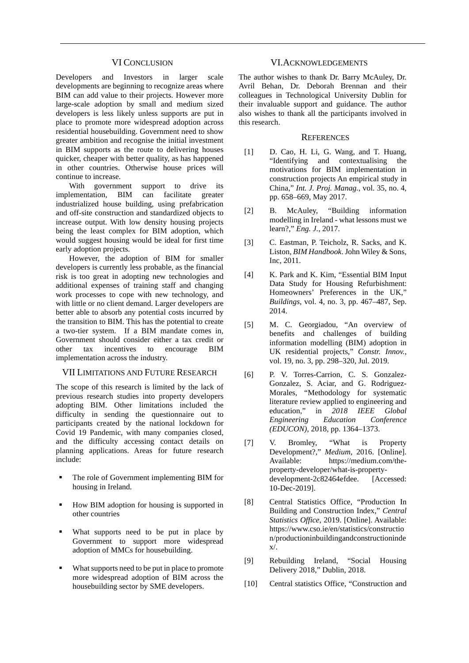#### VI CONCLUSION

Developers and Investors in larger scale developments are beginning to recognize areas where BIM can add value to their projects. However more large-scale adoption by small and medium sized developers is less likely unless supports are put in place to promote more widespread adoption across residential housebuilding. Government need to show greater ambition and recognise the initial investment in BIM supports as the route to delivering houses quicker, cheaper with better quality, as has happened in other countries. Otherwise house prices will continue to increase.

With government support to drive its<br>lementation, BIM can facilitate greater implementation, BIM can facilitate greater industrialized house building, using prefabrication and off-site construction and standardized objects to increase output. With low density housing projects being the least complex for BIM adoption, which would suggest housing would be ideal for first time early adoption projects.

However, the adoption of BIM for smaller developers is currently less probable, as the financial risk is too great in adopting new technologies and additional expenses of training staff and changing work processes to cope with new technology, and with little or no client demand. Larger developers are better able to absorb any potential costs incurred by the transition to BIM. This has the potential to create a two-tier system. If a BIM mandate comes in, Government should consider either a tax credit or other tax incentives to encourage BIM implementation across the industry.

# VII LIMITATIONS AND FUTURE RESEARCH

The scope of this research is limited by the lack of previous research studies into property developers adopting BIM. Other limitations included the difficulty in sending the questionnaire out to participants created by the national lockdown for Covid 19 Pandemic, with many companies closed, and the difficulty accessing contact details on planning applications. Areas for future research include:

- The role of Government implementing BIM for housing in Ireland.
- How BIM adoption for housing is supported in other countries
- What supports need to be put in place by Government to support more widespread adoption of MMCs for housebuilding.
- What supports need to be put in place to promote more widespread adoption of BIM across the housebuilding sector by SME developers.

#### VI.ACKNOWLEDGEMENTS

The author wishes to thank Dr. Barry McAuley, Dr. Avril Behan, Dr. Deborah Brennan and their colleagues in Technological University Dublin for their invaluable support and guidance. The author also wishes to thank all the participants involved in this research.

#### **REFERENCES**

- [1] D. Cao, H. Li, G. Wang, and T. Huang, "Identifying and contextualising the motivations for BIM implementation in construction projects An empirical study in China," *Int. J. Proj. Manag.*, vol. 35, no. 4, pp. 658–669, May 2017.
- [2] B. McAuley, "Building information modelling in Ireland - what lessons must we learn?," *Eng. J.*, 2017.
- [3] C. Eastman, P. Teicholz, R. Sacks, and K. Liston, *BIM Handbook*. John Wiley & Sons, Inc, 2011.
- [4] K. Park and K. Kim, "Essential BIM Input Data Study for Housing Refurbishment: Homeowners' Preferences in the UK," *Buildings*, vol. 4, no. 3, pp. 467–487, Sep. 2014.
- [5] M. C. Georgiadou, "An overview of benefits and challenges of building information modelling (BIM) adoption in UK residential projects," *Constr. Innov.*, vol. 19, no. 3, pp. 298–320, Jul. 2019.
- [6] P. V. Torres-Carrion, C. S. Gonzalez-Gonzalez, S. Aciar, and G. Rodriguez-Morales, "Methodology for systematic literature review applied to engineering and education," in *2018 IEEE Global Engineering Education Conference (EDUCON)*, 2018, pp. 1364–1373.
- [7] V. Bromley, "What is Property Development?," *Medium*, 2016. [Online]. Available: https://medium.com/theproperty-developer/what-is-propertydevelopment-2c82464efdee. [Accessed: 10-Dec-2019].
- [8] Central Statistics Office, "Production In Building and Construction Index," *Central Statistics Office*, 2019. [Online]. Available: https://www.cso.ie/en/statistics/constructio n/productioninbuildingandconstructioninde x/.
- [9] Rebuilding Ireland, "Social Housing Delivery 2018," Dublin, 2018.
- [10] Central statistics Office, "Construction and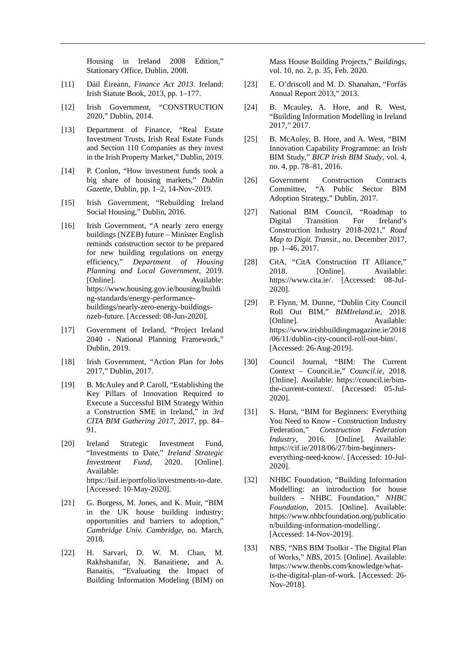Housing in Ireland 2008 Edition," Stationary Office, Dublin, 2008.

- [11] Dáil Éireann, *Finance Act 2013*. Ireland: Irish Statute Book, 2013, pp. 1–177.
- [12] Irish Government, "CONSTRUCTION 2020," Dublin, 2014.
- [13] Department of Finance, "Real Estate Investment Trusts, Irish Real Estate Funds and Section 110 Companies as they invest in the Irish Property Market," Dublin, 2019.
- [14] P. Conlon, "How investment funds took a big share of housing markets," *Dublin Gazette*, Dublin, pp. 1–2, 14-Nov-2019.
- [15] Irish Government, "Rebuilding Ireland Social Housing," Dublin, 2016.
- [16] Irish Government, "A nearly zero energy buildings (NZEB) future – Minister English reminds construction sector to be prepared for new building regulations on energy efficiency," *Department of Housing Planning and Local Government*, 2019. [Online]. Available: https://www.housing.gov.ie/housing/buildi ng-standards/energy-performancebuildings/nearly-zero-energy-buildingsnzeb-future. [Accessed: 08-Jun-2020].
- [17] Government of Ireland, "Project Ireland 2040 - National Planning Framework," Dublin, 2019.
- [18] Irish Government, "Action Plan for Jobs 2017," Dublin, 2017.
- [19] B. McAuley and P. Caroll, "Establishing the Key Pillars of Innovation Required to Execute a Successful BIM Strategy Within a Construction SME in Ireland," in *3rd CITA BIM Gathering 2017*, 2017, pp. 84– 91.
- [20] Ireland Strategic Investment Fund, "Investments to Date," *Ireland Strategic Investment Fund*, 2020. [Online]. Available: https://isif.ie/portfolio/investments-to-date. [Accessed: 10-May-2020].
- [21] G. Burgess, M. Jones, and K. Muir, "BIM in the UK house building industry: opportunities and barriers to adoption," *Cambridge Univ. Cambridge*, no. March, 2018.
- [22] H. Sarvari, D. W. M. Chan, M. Rakhshanifar, N. Banaitiene, and A. Banaitis, "Evaluating the Impact of Building Information Modeling (BIM) on

Mass House Building Projects," *Buildings*, vol. 10, no. 2, p. 35, Feb. 2020.

- [23] E. O'driscoll and M. D. Shanahan, "Forfás Annual Report 2013," 2013.
- [24] B. Mcauley, A. Hore, and R. West, "Building Information Modelling in Ireland 2017," 2017.
- [25] B. McAuley, B. Hore, and A. West, "BIM Innovation Capability Programme: an Irish BIM Study," *BICP Irish BIM Study*, vol. 4, no. 4, pp. 78–81, 2016.
- [26] Government Construction Contracts Committee, "A Public Sector BIM Adoption Strategy," Dublin, 2017.
- [27] National BIM Council, "Roadmap to Digital Transition For Ireland's Construction Industry 2018-2021," *Road Map to Digit. Transit.*, no. December 2017, pp. 1–46, 2017.
- [28] CitA, "CitA Construction IT Alliance," 2018. [Online]. Available: https://www.cita.ie/. [Accessed: 08-Jul-2020].
- [29] P. Flynn, M. Dunne, "Dublin City Council Roll Out BIM," *BIMIreland.ie*, 2018. [Online]. Available: https://www.irishbuildingmagazine.ie/2018 /06/11/dublin-city-council-roll-out-bim/. [Accessed: 26-Aug-2019].
- [30] Council Journal, "BIM: The Current Context – Council.ie," *Council.ie*, 2018. [Online]. Available: https://council.ie/bimthe-current-context/. [Accessed: 05-Jul-2020].
- [31] S. Hurst, "BIM for Beginners: Everything You Need to Know - Construction Industry Federation," *Construction Federation Industry*, 2016. [Online]. Available: https://cif.ie/2018/06/27/bim-beginnerseverything-need-know/. [Accessed: 10-Jul-2020].
- [32] NHBC Foundation, "Building Information Modelling: an introduction for house builders - NHBC Foundation," *NHBC Foundation*, 2015. [Online]. Available: https://www.nhbcfoundation.org/publicatio n/building-information-modelling/. [Accessed: 14-Nov-2019].
- [33] NBS, "NBS BIM Toolkit The Digital Plan of Works," *NBS*, 2015. [Online]. Available: https://www.thenbs.com/knowledge/whatis-the-digital-plan-of-work. [Accessed: 26- Nov-2018].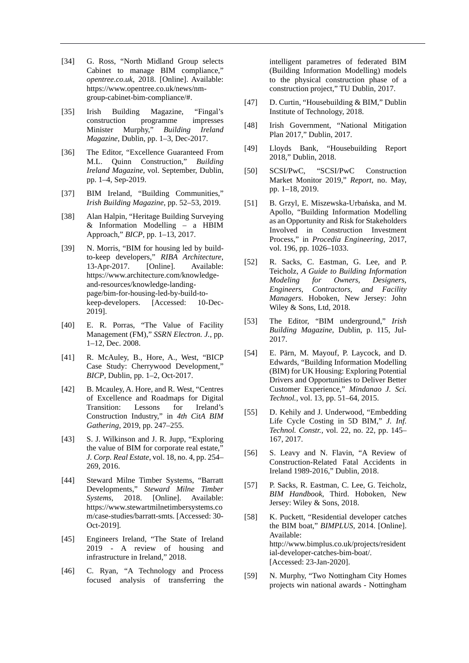- [34] G. Ross, "North Midland Group selects Cabinet to manage BIM compliance," *opentree.co.uk*, 2018. [Online]. Available: https://www.opentree.co.uk/news/nmgroup-cabinet-bim-compliance/#.
- [35] Irish Building Magazine, "Fingal's construction programme impresses Minister Murphy," *Building Ireland Magazine*, Dublin, pp. 1–3, Dec-2017.
- [36] The Editor, "Excellence Guaranteed From M.L. Quinn Construction," *Building Ireland Magazine*, vol. September, Dublin, pp. 1–4, Sep-2019.
- [37] BIM Ireland, "Building Communities," *Irish Building Magazine*, pp. 52–53, 2019.
- [38] Alan Halpin, "Heritage Building Surveying & Information Modelling – a HBIM Approach," *BICP*, pp. 1–13, 2017.
- [39] N. Morris, "BIM for housing led by buildto-keep developers," *RIBA Architecture*, 13-Apr-2017. [Online]. Available: https://www.architecture.com/knowledgeand-resources/knowledge-landingpage/bim-for-housing-led-by-build-tokeep-developers. [Accessed: 10-Dec-2019].
- [40] E. R. Porras, "The Value of Facility Management (FM)," *SSRN Electron. J.*, pp. 1–12, Dec. 2008.
- [41] R. McAuley, B., Hore, A., West, "BICP Case Study: Cherrywood Development," *BICP*, Dublin, pp. 1–2, Oct-2017.
- [42] B. Mcauley, A. Hore, and R. West, "Centres of Excellence and Roadmaps for Digital Transition: Lessons for Ireland's Construction Industry," in *4th CitA BIM Gathering*, 2019, pp. 247–255.
- [43] S. J. Wilkinson and J. R. Jupp, "Exploring the value of BIM for corporate real estate," *J. Corp. Real Estate*, vol. 18, no. 4, pp. 254– 269, 2016.
- [44] Steward Milne Timber Systems, "Barratt Developments," *Steward Milne Timber Systems*, 2018. [Online]. Available: https://www.stewartmilnetimbersystems.co m/case-studies/barratt-smts. [Accessed: 30- Oct-2019].
- [45] Engineers Ireland, "The State of Ireland 2019 - A review of housing and infrastructure in Ireland," 2018.
- [46] C. Ryan, "A Technology and Process focused analysis of transferring the

intelligent parametres of federated BIM (Building Information Modelling) models to the physical construction phase of a construction project," TU Dublin, 2017.

- [47] D. Curtin, "Housebuilding & BIM," Dublin Institute of Technology, 2018.
- [48] Irish Government, "National Mitigation Plan 2017," Dublin, 2017.
- [49] Lloyds Bank, "Housebuilding Report 2018," Dublin, 2018.
- [50] SCSI/PwC, "SCSI/PwC Construction Market Monitor 2019," *Report*, no. May, pp. 1–18, 2019.
- [51] B. Grzyl, E. Miszewska-Urbańska, and M. Apollo, "Building Information Modelling as an Opportunity and Risk for Stakeholders Involved in Construction Investment Process," in *Procedia Engineering*, 2017, vol. 196, pp. 1026–1033.
- [52] R. Sacks, C. Eastman, G. Lee, and P. Teicholz, *A Guide to Building Information Modeling for Owners, Designers, Engineers, Contractors, and Facility Managers*. Hoboken, New Jersey: John Wiley & Sons, Ltd, 2018.
- [53] The Editor, "BIM underground," *Irish Building Magazine*, Dublin, p. 115, Jul-2017.
- [54] E. Pärn, M. Mayouf, P. Laycock, and D. Edwards, "Building Information Modelling (BIM) for UK Housing: Exploring Potential Drivers and Opportunities to Deliver Better Customer Experience," *Mindanao J. Sci. Technol.*, vol. 13, pp. 51–64, 2015.
- [55] D. Kehily and J. Underwood, "Embedding" Life Cycle Costing in 5D BIM," *J. Inf. Technol. Constr.*, vol. 22, no. 22, pp. 145– 167, 2017.
- [56] S. Leavy and N. Flavin, "A Review of Construction-Related Fatal Accidents in Ireland 1989-2016," Dublin, 2018.
- [57] P. Sacks, R. Eastman, C. Lee, G. Teicholz, *BIM Handbook*, Third. Hoboken, New Jersey: Wiley & Sons, 2018.
- [58] K. Puckett, "Residential developer catches the BIM boat," *BIMPLUS*, 2014. [Online]. Available: http://www.bimplus.co.uk/projects/resident ial-developer-catches-bim-boat/. [Accessed: 23-Jan-2020].
- [59] N. Murphy, "Two Nottingham City Homes projects win national awards - Nottingham